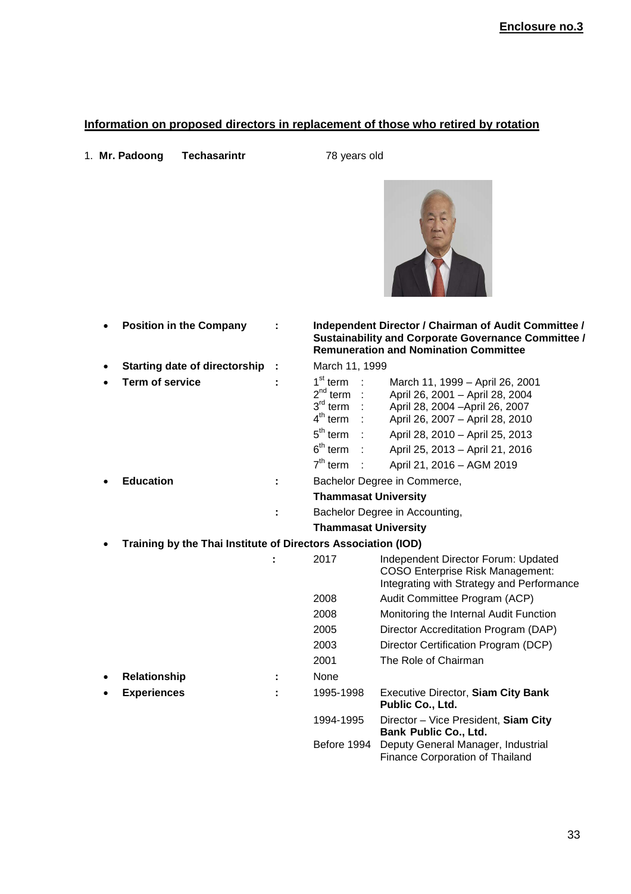## **Information on proposed directors in replacement of those who retired by rotation**

1. **Mr. Padoong Techasarintr** 78 years old

|           | <b>Position in the Company</b>                                |                                                                                                                                          | Independent Director / Chairman of Audit Committee /<br>Sustainability and Corporate Governance Committee /<br><b>Remuneration and Nomination Committee</b>                                                                                 |
|-----------|---------------------------------------------------------------|------------------------------------------------------------------------------------------------------------------------------------------|---------------------------------------------------------------------------------------------------------------------------------------------------------------------------------------------------------------------------------------------|
| $\bullet$ | <b>Starting date of directorship</b>                          | March 11, 1999                                                                                                                           |                                                                                                                                                                                                                                             |
|           | <b>Term of service</b>                                        | 1 <sup>st</sup> term<br>2 <sup>nd</sup> term<br>$3^{\text{rd}}$ term<br>$4th$ term<br>5 <sup>th</sup> term<br>$6th$ term :<br>$7th$ term | March 11, 1999 - April 26, 2001<br>April 26, 2001 - April 28, 2004<br>April 28, 2004 - April 26, 2007<br>April 26, 2007 - April 28, 2010<br>April 28, 2010 - April 25, 2013<br>April 25, 2013 - April 21, 2016<br>April 21, 2016 - AGM 2019 |
|           | <b>Education</b>                                              |                                                                                                                                          | Bachelor Degree in Commerce,                                                                                                                                                                                                                |
|           |                                                               | <b>Thammasat University</b>                                                                                                              |                                                                                                                                                                                                                                             |
|           |                                                               |                                                                                                                                          | Bachelor Degree in Accounting,                                                                                                                                                                                                              |
|           |                                                               | <b>Thammasat University</b>                                                                                                              |                                                                                                                                                                                                                                             |
|           | Training by the Thai Institute of Directors Association (IOD) |                                                                                                                                          |                                                                                                                                                                                                                                             |
|           |                                                               | 2017                                                                                                                                     | Independent Director Forum: Updated<br><b>COSO Enterprise Risk Management:</b><br>Integrating with Strategy and Performance                                                                                                                 |
|           |                                                               | 2008                                                                                                                                     | Audit Committee Program (ACP)                                                                                                                                                                                                               |
|           |                                                               | 2008                                                                                                                                     | Monitoring the Internal Audit Function                                                                                                                                                                                                      |
|           |                                                               | 2005                                                                                                                                     | Director Accreditation Program (DAP)                                                                                                                                                                                                        |
|           |                                                               | 2003                                                                                                                                     | Director Certification Program (DCP)                                                                                                                                                                                                        |
|           |                                                               | 2001                                                                                                                                     | The Role of Chairman                                                                                                                                                                                                                        |
| $\bullet$ | Relationship                                                  | None                                                                                                                                     |                                                                                                                                                                                                                                             |
|           | <b>Experiences</b>                                            | 1995-1998                                                                                                                                | <b>Executive Director, Siam City Bank</b>                                                                                                                                                                                                   |

**Public Co., Ltd.** 1994-1995 Director – Vice President, **Siam City Bank Public Co., Ltd.**  Before 1994 Deputy General Manager, Industrial

Finance Corporation of Thailand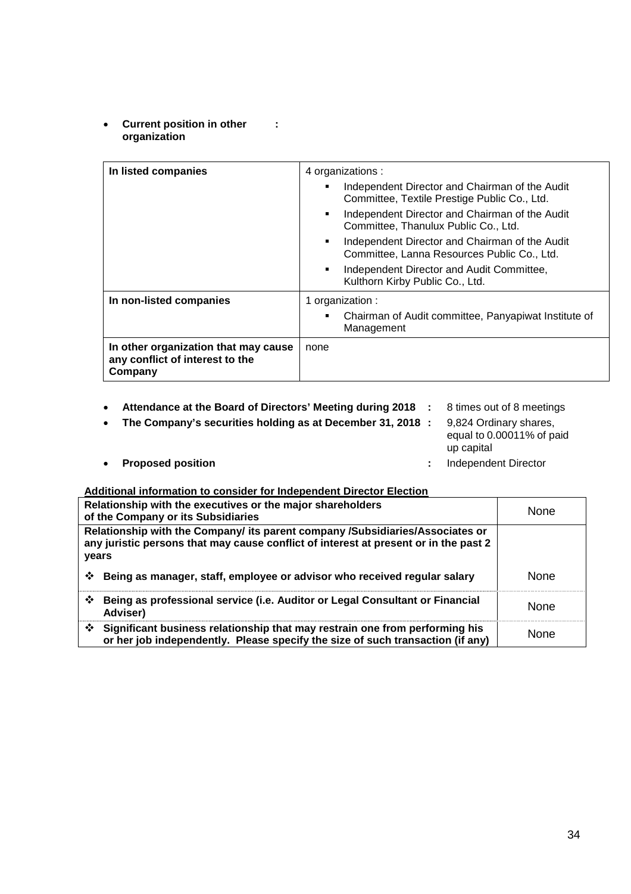• **Current position in other : organization**

| In listed companies                                                                | 4 organizations :<br>Independent Director and Chairman of the Audit<br>Committee, Textile Prestige Public Co., Ltd.<br>Independent Director and Chairman of the Audit<br>٠                                                 |
|------------------------------------------------------------------------------------|----------------------------------------------------------------------------------------------------------------------------------------------------------------------------------------------------------------------------|
|                                                                                    | Committee, Thanulux Public Co., Ltd.<br>Independent Director and Chairman of the Audit<br>Committee, Lanna Resources Public Co., Ltd.<br>Independent Director and Audit Committee,<br>٠<br>Kulthorn Kirby Public Co., Ltd. |
| In non-listed companies                                                            | 1 organization :<br>Chairman of Audit committee, Panyapiwat Institute of<br>٠<br>Management                                                                                                                                |
| In other organization that may cause<br>any conflict of interest to the<br>Company | none                                                                                                                                                                                                                       |

- **Attendance at the Board of Directors' Meeting during 2018 :** 8 times out of 8 meetings
- **The Company's securities holding as at December 31, 2018 :** 9,824 Ordinary shares,
- - equal to 0.00011% of paid up capital
- **Proposed position :** Independent Director
- 

| Relationship with the executives or the major shareholders<br>of the Company or its Subsidiaries                                                                               | None                                                                                                                                                          |             |
|--------------------------------------------------------------------------------------------------------------------------------------------------------------------------------|---------------------------------------------------------------------------------------------------------------------------------------------------------------|-------------|
| Relationship with the Company/ its parent company /Subsidiaries/Associates or<br>any juristic persons that may cause conflict of interest at present or in the past 2<br>years |                                                                                                                                                               |             |
| ❖                                                                                                                                                                              | Being as manager, staff, employee or advisor who received regular salary                                                                                      | <b>None</b> |
| ❖<br>Adviser)                                                                                                                                                                  | Being as professional service (i.e. Auditor or Legal Consultant or Financial                                                                                  | <b>None</b> |
| ❖                                                                                                                                                                              | Significant business relationship that may restrain one from performing his<br>or her job independently. Please specify the size of such transaction (if any) | None        |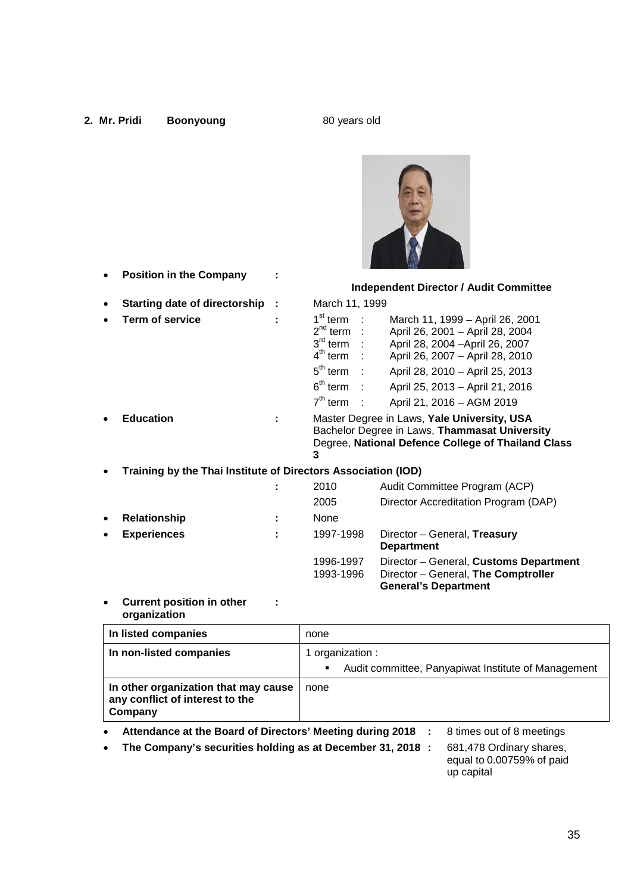# **2. Mr. Pridi Boonyoung 1989 COVER 180 years old SO years old SO years old SO years old SO years old SO years old SO years old SO years old SO years old SO years old SO years old SO years old SO years old SO years old SO y** • **Position in the Company : Independent Director / Audit Committee**  • **Starting date of directorship :** March 11, 1999 **Term of service :** 1st term : March 11, 1999 – April 26, 2001  $2^{nd}$  term : April 26, 2001 – April 28, 2004  $3<sup>rd</sup>$  term April 28, 2004 –April 26, 2007  $4<sup>th</sup>$  term April 26, 2007 – April 28, 2010  $5<sup>th</sup>$  term April 28, 2010 – April 25, 2013  $6<sup>th</sup>$  term : April 25, 2013 – April 21, 2016  $7<sup>th</sup>$  term : April 21, 2016 – AGM 2019 • **Education :** Master Degree in Laws, **Yale University, USA**  Bachelor Degree in Laws, **Thammasat University**  Degree, **National Defence College of Thailand Class 3** • **Training by the Thai Institute of Directors Association (IOD) :** 2010 Audit Committee Program (ACP) 2005 Director Accreditation Program (DAP) • **Relationship :** None • **Experiences :** 1997-1998 Director – General, **Treasury Department**  1996-1997 Director – General, **Customs Department** 1993-1996 Director – General, **The Comptroller**

**Current position in other : organization**

| In listed companies                                                                      | none                                                     |  |  |
|------------------------------------------------------------------------------------------|----------------------------------------------------------|--|--|
| In non-listed companies                                                                  | 1 organization :                                         |  |  |
|                                                                                          | Audit committee, Panyapiwat Institute of Management<br>٠ |  |  |
| In other organization that may cause<br>any conflict of interest to the<br>Company       | none                                                     |  |  |
| Attainabang at the Beaudi of Bluesteine Meathers during 0040 and three and of 0 meathers |                                                          |  |  |

**General's Department** 

- **Attendance at the Board of Directors' Meeting during 2018 :** 8 times out of 8 meetings
- **The Company's securities holding as at December 31, 2018 :** 681,478 Ordinary shares,

equal to 0.00759% of paid up capital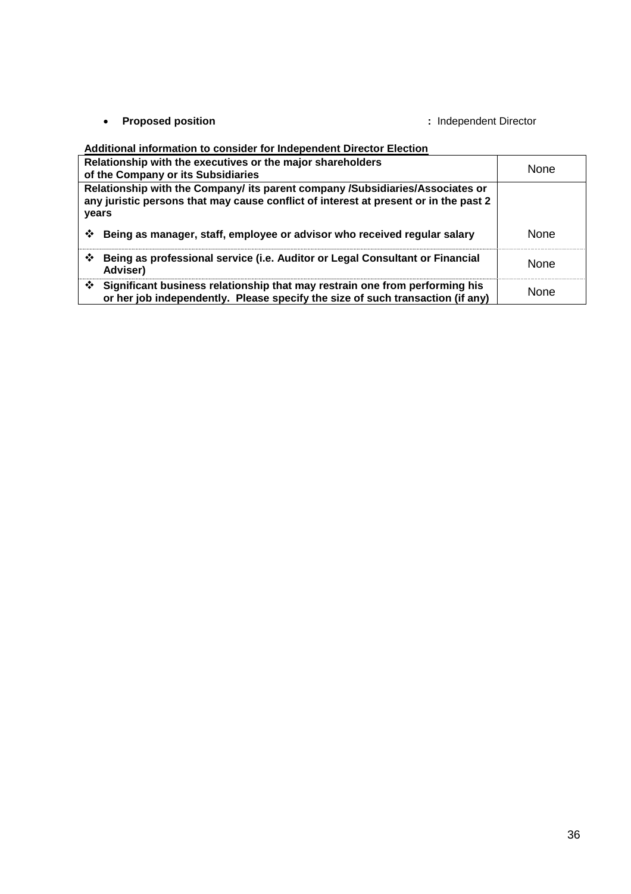• **Proposed position :** Independent Director

| Relationship with the executives or the major shareholders<br>of the Company or its Subsidiaries                                                                               | <b>None</b> |
|--------------------------------------------------------------------------------------------------------------------------------------------------------------------------------|-------------|
| Relationship with the Company/ its parent company /Subsidiaries/Associates or<br>any juristic persons that may cause conflict of interest at present or in the past 2<br>years |             |
| Being as manager, staff, employee or advisor who received regular salary<br>❖                                                                                                  | <b>None</b> |
| Being as professional service (i.e. Auditor or Legal Consultant or Financial<br>❖<br>Adviser)                                                                                  | None        |
| Significant business relationship that may restrain one from performing his<br>❖<br>or her job independently. Please specify the size of such transaction (if any)             | None        |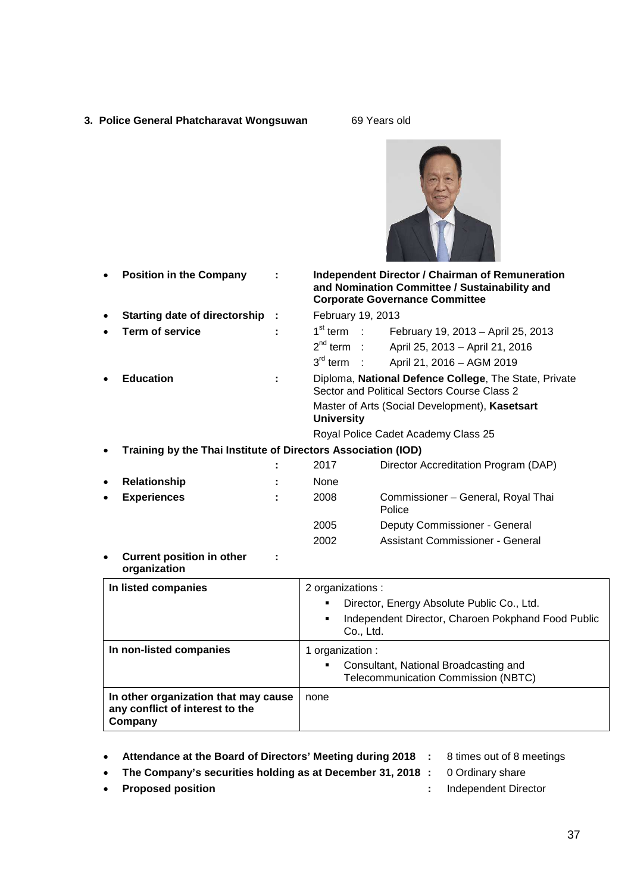- **3. Police General Phatcharavat Wongsuwan** 69 Years old
	-



**Current position in other :: organization**

| In listed companies                                                                | 2 organizations :<br>Director, Energy Absolute Public Co., Ltd.<br>$\blacksquare$<br>Independent Director, Charoen Pokphand Food Public<br>Co., Ltd. |
|------------------------------------------------------------------------------------|------------------------------------------------------------------------------------------------------------------------------------------------------|
| In non-listed companies                                                            | 1 organization :<br>Consultant, National Broadcasting and<br>$\blacksquare$<br><b>Telecommunication Commission (NBTC)</b>                            |
| In other organization that may cause<br>any conflict of interest to the<br>Company | none                                                                                                                                                 |

- **Attendance at the Board of Directors' Meeting during 2018 :** 8 times out of 8 meetings
	-
- **The Company's securities holding as at December 31, 2018 :** 0 Ordinary share
- 
- 
- **Proposed position :** Independent Director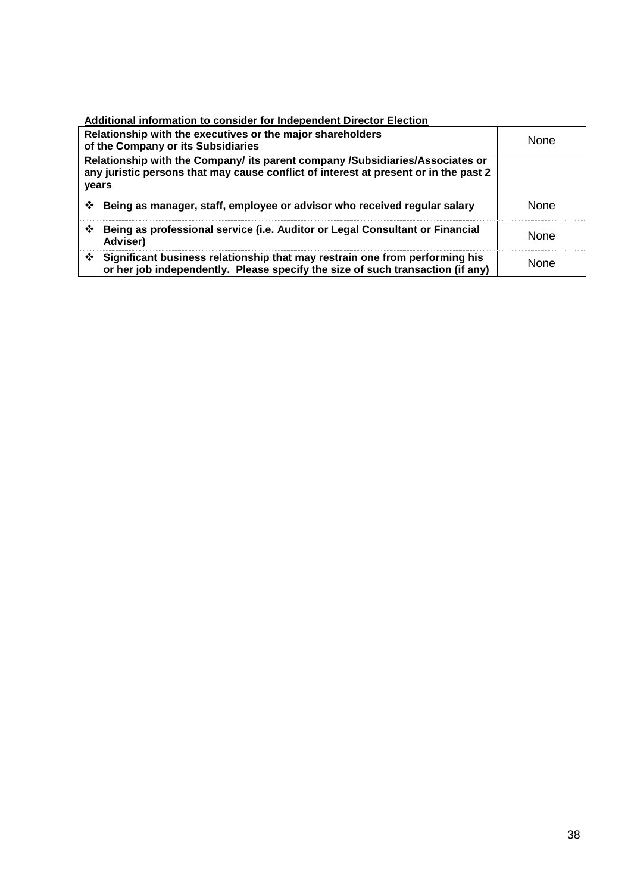| Relationship with the executives or the major shareholders<br>of the Company or its Subsidiaries                                                                               | None        |
|--------------------------------------------------------------------------------------------------------------------------------------------------------------------------------|-------------|
| Relationship with the Company/ its parent company /Subsidiaries/Associates or<br>any juristic persons that may cause conflict of interest at present or in the past 2<br>years |             |
| Being as manager, staff, employee or advisor who received regular salary<br>❖                                                                                                  | <b>None</b> |
| ❖<br>Being as professional service (i.e. Auditor or Legal Consultant or Financial<br>Adviser)                                                                                  | <b>None</b> |
| Significant business relationship that may restrain one from performing his<br>❖<br>or her job independently. Please specify the size of such transaction (if any)             | <b>None</b> |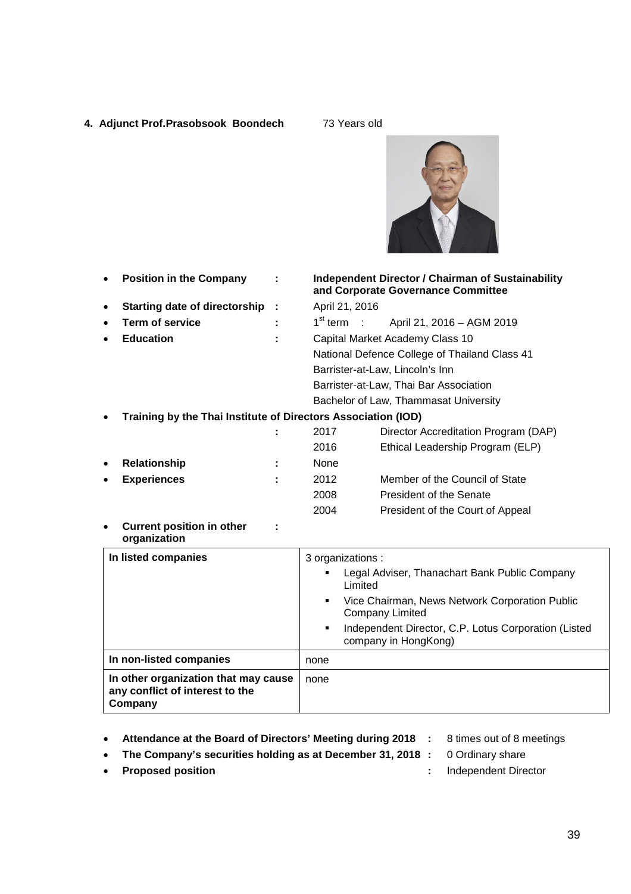- **4. Adjunct Prof.Prasobsook Boondech** 73 Years old
	-



| <b>Position in the Company</b><br>٠                                                |   |                   | <b>Independent Director / Chairman of Sustainability</b><br>and Corporate Governance Committee |
|------------------------------------------------------------------------------------|---|-------------------|------------------------------------------------------------------------------------------------|
| <b>Starting date of directorship</b><br>$\bullet$                                  | ÷ | April 21, 2016    |                                                                                                |
| <b>Term of service</b><br>$\bullet$                                                |   | $1st$ term :      | April 21, 2016 - AGM 2019                                                                      |
| <b>Education</b><br>$\bullet$                                                      |   |                   | Capital Market Academy Class 10                                                                |
|                                                                                    |   |                   | National Defence College of Thailand Class 41                                                  |
|                                                                                    |   |                   | Barrister-at-Law, Lincoln's Inn                                                                |
|                                                                                    |   |                   | Barrister-at-Law, Thai Bar Association                                                         |
|                                                                                    |   |                   | Bachelor of Law, Thammasat University                                                          |
| Training by the Thai Institute of Directors Association (IOD)<br>$\bullet$         |   |                   |                                                                                                |
|                                                                                    |   | 2017              | Director Accreditation Program (DAP)                                                           |
|                                                                                    |   | 2016              | Ethical Leadership Program (ELP)                                                               |
| Relationship<br>$\bullet$                                                          |   | None              |                                                                                                |
| <b>Experiences</b><br>$\bullet$                                                    |   | 2012              | Member of the Council of State                                                                 |
|                                                                                    |   | 2008              | President of the Senate                                                                        |
|                                                                                    |   | 2004              | President of the Court of Appeal                                                               |
| <b>Current position in other</b><br>$\bullet$<br>organization                      |   |                   |                                                                                                |
| In listed companies                                                                |   | 3 organizations : |                                                                                                |
|                                                                                    |   |                   | Legal Adviser, Thanachart Bank Public Company<br>Limited                                       |
|                                                                                    |   | ٠                 | Vice Chairman, News Network Corporation Public<br><b>Company Limited</b>                       |
|                                                                                    |   | ٠                 | Independent Director, C.P. Lotus Corporation (Listed<br>company in HongKong)                   |
| In non-listed companies                                                            |   | none              |                                                                                                |
| In other organization that may cause<br>any conflict of interest to the<br>Company |   | none              |                                                                                                |

- **Attendance at the Board of Directors' Meeting during 2018 :** 8 times out of 8 meetings
	-
- **The Company's securities holding as at December 31, 2018 :** 0 Ordinary share
- **Proposed position :** Independent Director
-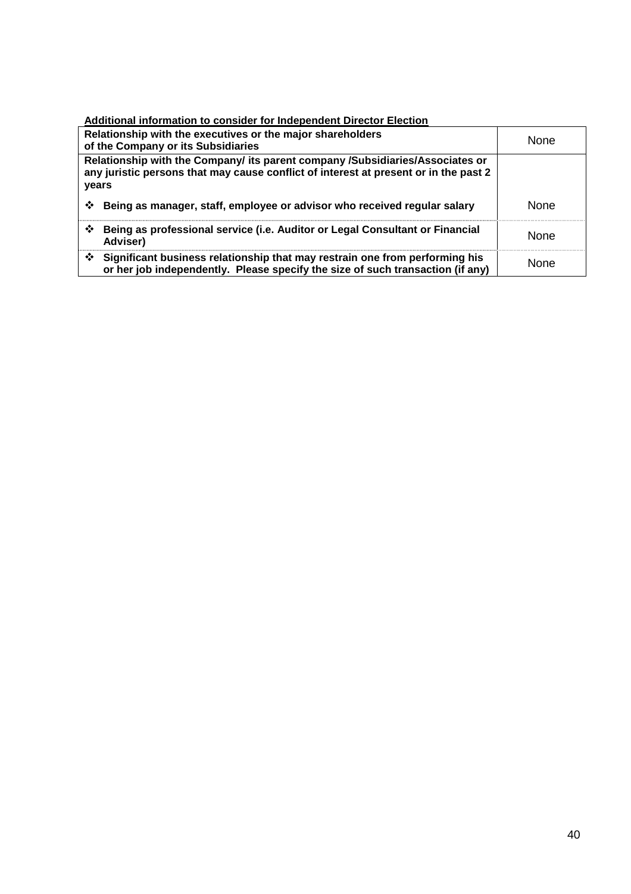| Relationship with the executives or the major shareholders<br>of the Company or its Subsidiaries                                                                               | None        |
|--------------------------------------------------------------------------------------------------------------------------------------------------------------------------------|-------------|
| Relationship with the Company/ its parent company /Subsidiaries/Associates or<br>any juristic persons that may cause conflict of interest at present or in the past 2<br>years |             |
| Being as manager, staff, employee or advisor who received regular salary<br>❖                                                                                                  | <b>None</b> |
| ❖<br>Being as professional service (i.e. Auditor or Legal Consultant or Financial<br>Adviser)                                                                                  | <b>None</b> |
| Significant business relationship that may restrain one from performing his<br>❖<br>or her job independently. Please specify the size of such transaction (if any)             | <b>None</b> |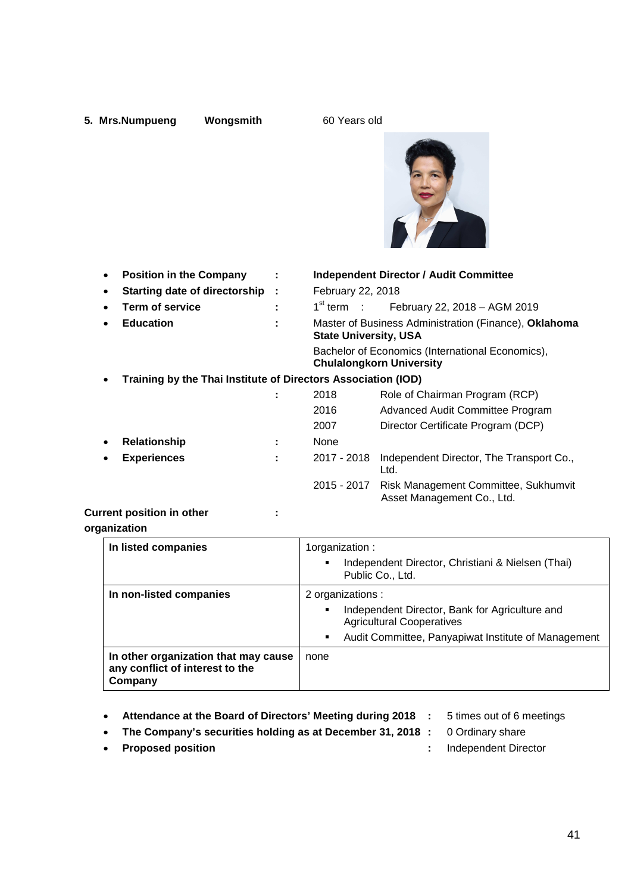## **5. Mrs.Numpueng Wongsmith 60 Years old**



| $\bullet$ | <b>Position in the Company</b>                                | ÷ |                              | <b>Independent Director / Audit Committee</b>                                       |
|-----------|---------------------------------------------------------------|---|------------------------------|-------------------------------------------------------------------------------------|
| $\bullet$ | <b>Starting date of directorship</b>                          | ÷ | February 22, 2018            |                                                                                     |
| $\bullet$ | <b>Term of service</b>                                        | ÷ | $1st$ term :                 | February 22, 2018 - AGM 2019                                                        |
| $\bullet$ | <b>Education</b>                                              | ÷ | <b>State University, USA</b> | Master of Business Administration (Finance), Oklahoma                               |
|           |                                                               |   |                              | Bachelor of Economics (International Economics),<br><b>Chulalongkorn University</b> |
| $\bullet$ | Training by the Thai Institute of Directors Association (IOD) |   |                              |                                                                                     |
|           |                                                               |   | 2018                         | Role of Chairman Program (RCP)                                                      |
|           |                                                               |   | 2016                         | Advanced Audit Committee Program                                                    |
|           |                                                               |   | 2007                         | Director Certificate Program (DCP)                                                  |
| $\bullet$ | <b>Relationship</b>                                           | ÷ | None                         |                                                                                     |
| $\bullet$ | <b>Experiences</b>                                            |   | 2017 - 2018                  | Independent Director, The Transport Co.,<br>Ltd.                                    |
|           |                                                               |   | 2015 - 2017                  | Risk Management Committee, Sukhumvit<br>Asset Management Co., Ltd.                  |
|           |                                                               |   |                              |                                                                                     |

## **Current position in other :**

#### **organization**

| In listed companies                                                                | 1organization:<br>Independent Director, Christiani & Nielsen (Thai)<br>Public Co., Ltd.                                                                                  |
|------------------------------------------------------------------------------------|--------------------------------------------------------------------------------------------------------------------------------------------------------------------------|
| In non-listed companies                                                            | 2 organizations :<br>Independent Director, Bank for Agriculture and<br>٠<br><b>Agricultural Cooperatives</b><br>Audit Committee, Panyapiwat Institute of Management<br>٠ |
| In other organization that may cause<br>any conflict of interest to the<br>Company | none                                                                                                                                                                     |

- **Attendance at the Board of Directors' Meeting during 2018 :** 5 times out of 6 meetings
	-
- **The Company's securities holding as at December 31, 2018 :** 0 Ordinary share
	-
- **Proposed position :** Independent Director
-